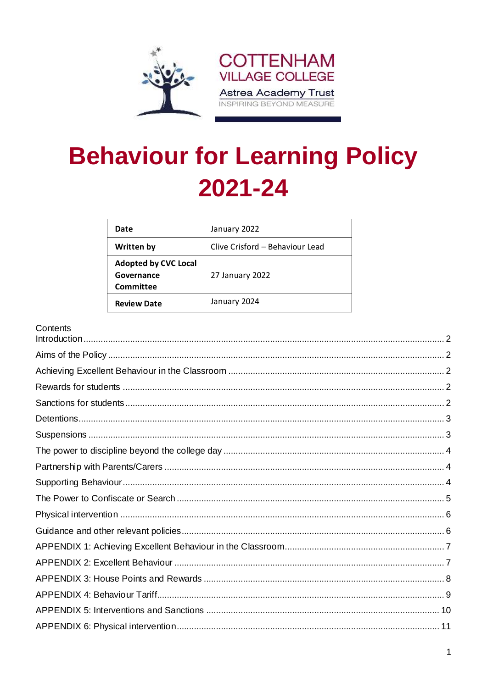

# **Behaviour for Learning Policy** 2021-24

| Date                                                   | January 2022                    |
|--------------------------------------------------------|---------------------------------|
| <b>Written by</b>                                      | Clive Crisford - Behaviour Lead |
| <b>Adopted by CVC Local</b><br>Governance<br>Committee | 27 January 2022                 |
| <b>Review Date</b>                                     | January 2024                    |

#### Contents

| <b>UUTILUTILO</b> |  |
|-------------------|--|
|                   |  |
|                   |  |
|                   |  |
|                   |  |
|                   |  |
|                   |  |
|                   |  |
|                   |  |
|                   |  |
|                   |  |
|                   |  |
|                   |  |
|                   |  |
|                   |  |
|                   |  |
|                   |  |
|                   |  |
|                   |  |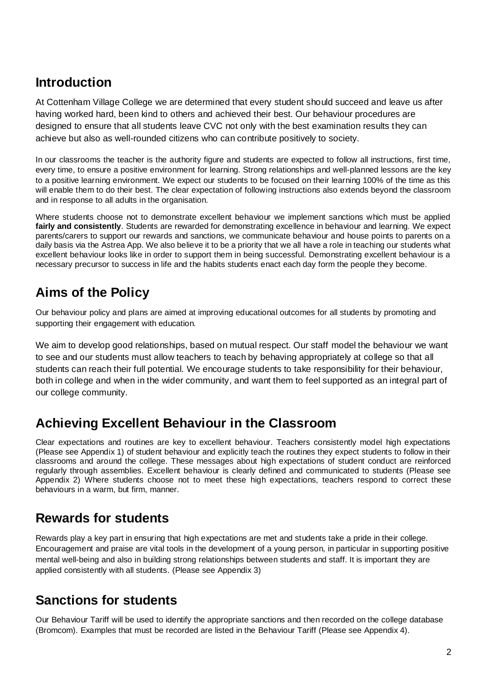### <span id="page-1-0"></span>**Introduction**

At Cottenham Village College we are determined that every student should succeed and leave us after having worked hard, been kind to others and achieved their best. Our behaviour procedures are designed to ensure that all students leave CVC not only with the best examination results they can achieve but also as well-rounded citizens who can contribute positively to society.

In our classrooms the teacher is the authority figure and students are expected to follow all instructions, first time, every time, to ensure a positive environment for learning. Strong relationships and well-planned lessons are the key to a positive learning environment. We expect our students to be focused on their learning 100% of the time as this will enable them to do their best. The clear expectation of following instructions also extends beyond the classroom and in response to all adults in the organisation.

Where students choose not to demonstrate excellent behaviour we implement sanctions which must be applied **fairly and consistently**. Students are rewarded for demonstrating excellence in behaviour and learning. We expect parents/carers to support our rewards and sanctions, we communicate behaviour and house points to parents on a daily basis via the Astrea App. We also believe it to be a priority that we all have a role in teaching our students what excellent behaviour looks like in order to support them in being successful. Demonstrating excellent behaviour is a necessary precursor to success in life and the habits students enact each day form the people they become.

## <span id="page-1-1"></span>**Aims of the Policy**

Our behaviour policy and plans are aimed at improving educational outcomes for all students by promoting and supporting their engagement with education.

We aim to develop good relationships, based on mutual respect. Our staff model the behaviour we want to see and our students must allow teachers to teach by behaving appropriately at college so that all students can reach their full potential. We encourage students to take responsibility for their behaviour, both in college and when in the wider community, and want them to feel supported as an integral part of our college community.

### <span id="page-1-2"></span>**Achieving Excellent Behaviour in the Classroom**

Clear expectations and routines are key to excellent behaviour. Teachers consistently model high expectations (Please see Appendix 1) of student behaviour and explicitly teach the routines they expect students to follow in their classrooms and around the college. These messages about high expectations of student conduct are reinforced regularly through assemblies. Excellent behaviour is clearly defined and communicated to students (Please see Appendix 2) Where students choose not to meet these high expectations, teachers respond to correct these behaviours in a warm, but firm, manner.

## <span id="page-1-3"></span>**Rewards for students**

Rewards play a key part in ensuring that high expectations are met and students take a pride in their college. Encouragement and praise are vital tools in the development of a young person, in particular in supporting positive mental well-being and also in building strong relationships between students and staff. It is important they are applied consistently with all students. (Please see Appendix 3)

## <span id="page-1-4"></span>**Sanctions for students**

Our Behaviour Tariff will be used to identify the appropriate sanctions and then recorded on the college database (Bromcom). Examples that must be recorded are listed in the Behaviour Tariff (Please see Appendix 4).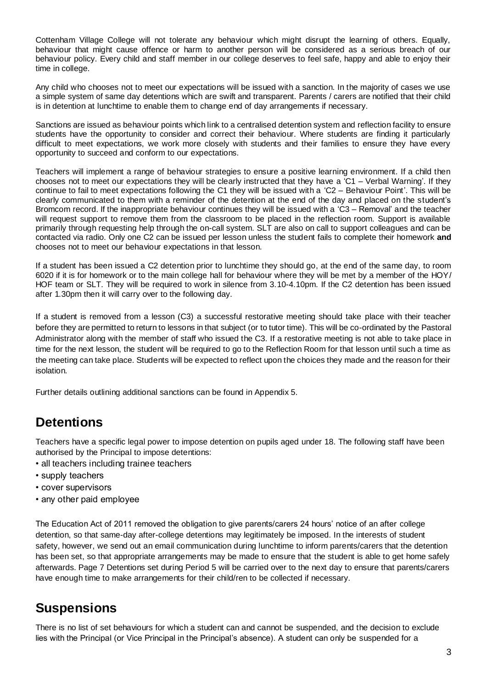Cottenham Village College will not tolerate any behaviour which might disrupt the learning of others. Equally, behaviour that might cause offence or harm to another person will be considered as a serious breach of our behaviour policy. Every child and staff member in our college deserves to feel safe, happy and able to enjoy their time in college.

Any child who chooses not to meet our expectations will be issued with a sanction. In the majority of cases we use a simple system of same day detentions which are swift and transparent. Parents / carers are notified that their child is in detention at lunchtime to enable them to change end of day arrangements if necessary.

Sanctions are issued as behaviour points which link to a centralised detention system and reflection facility to ensure students have the opportunity to consider and correct their behaviour. Where students are finding it particularly difficult to meet expectations, we work more closely with students and their families to ensure they have every opportunity to succeed and conform to our expectations.

Teachers will implement a range of behaviour strategies to ensure a positive learning environment. If a child then chooses not to meet our expectations they will be clearly instructed that they have a 'C1 – Verbal Warning'. If they continue to fail to meet expectations following the C1 they will be issued with a 'C2 – Behaviour Point'. This will be clearly communicated to them with a reminder of the detention at the end of the day and placed on the student's Bromcom record. If the inappropriate behaviour continues they will be issued with a 'C3 – Removal' and the teacher will request support to remove them from the classroom to be placed in the reflection room. Support is available primarily through requesting help through the on-call system. SLT are also on call to support colleagues and can be contacted via radio. Only one C2 can be issued per lesson unless the student fails to complete their homework **and**  chooses not to meet our behaviour expectations in that lesson.

If a student has been issued a C2 detention prior to lunchtime they should go, at the end of the same day, to room 6020 if it is for homework or to the main college hall for behaviour where they will be met by a member of the HOY/ HOF team or SLT. They will be required to work in silence from 3.10-4.10pm. If the C2 detention has been issued after 1.30pm then it will carry over to the following day.

If a student is removed from a lesson (C3) a successful restorative meeting should take place with their teacher before they are permitted to return to lessons in that subject (or to tutor time). This will be co-ordinated by the Pastoral Administrator along with the member of staff who issued the C3. If a restorative meeting is not able to take place in time for the next lesson, the student will be required to go to the Reflection Room for that lesson until such a time as the meeting can take place. Students will be expected to reflect upon the choices they made and the reason for their isolation.

<span id="page-2-0"></span>Further details outlining additional sanctions can be found in Appendix 5.

### **Detentions**

Teachers have a specific legal power to impose detention on pupils aged under 18. The following staff have been authorised by the Principal to impose detentions:

- all teachers including trainee teachers
- supply teachers
- cover supervisors
- any other paid employee

The Education Act of 2011 removed the obligation to give parents/carers 24 hours' notice of an after college detention, so that same-day after-college detentions may legitimately be imposed. In the interests of student safety, however, we send out an email communication during lunchtime to inform parents/carers that the detention has been set, so that appropriate arrangements may be made to ensure that the student is able to get home safely afterwards. Page 7 Detentions set during Period 5 will be carried over to the next day to ensure that parents/carers have enough time to make arrangements for their child/ren to be collected if necessary.

#### <span id="page-2-1"></span>**Suspensions**

There is no list of set behaviours for which a student can and cannot be suspended, and the decision to exclude lies with the Principal (or Vice Principal in the Principal's absence). A student can only be suspended for a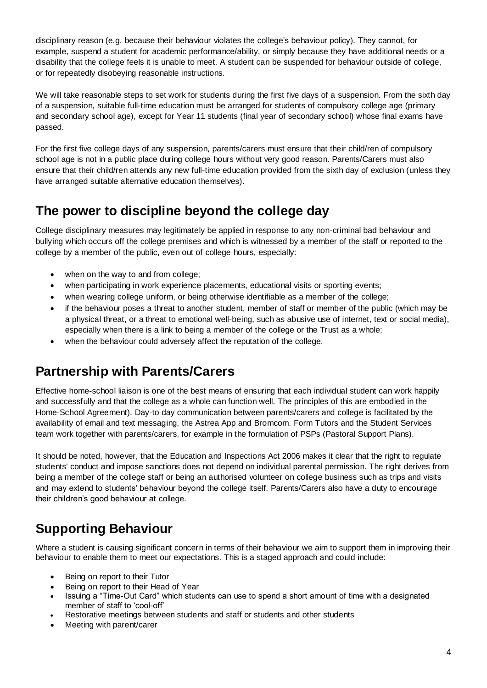disciplinary reason (e.g. because their behaviour violates the college's behaviour policy). They cannot, for example, suspend a student for academic performance/ability, or simply because they have additional needs or a disability that the college feels it is unable to meet. A student can be suspended for behaviour outside of college, or for repeatedly disobeying reasonable instructions.

We will take reasonable steps to set work for students during the first five days of a suspension. From the sixth day of a suspension, suitable full-time education must be arranged for students of compulsory college age (primary and secondary school age), except for Year 11 students (final year of secondary school) whose final exams have passed.

For the first five college days of any suspension, parents/carers must ensure that their child/ren of compulsory school age is not in a public place during college hours without very good reason. Parents/Carers must also ensure that their child/ren attends any new full-time education provided from the sixth day of exclusion (unless they have arranged suitable alternative education themselves).

## <span id="page-3-0"></span>**The power to discipline beyond the college day**

College disciplinary measures may legitimately be applied in response to any non-criminal bad behaviour and bullying which occurs off the college premises and which is witnessed by a member of the staff or reported to the college by a member of the public, even out of college hours, especially:

- when on the way to and from college:
- when participating in work experience placements, educational visits or sporting events;
- when wearing college uniform, or being otherwise identifiable as a member of the college;
- if the behaviour poses a threat to another student, member of staff or member of the public (which may be a physical threat, or a threat to emotional well-being, such as abusive use of internet, text or social media), especially when there is a link to being a member of the college or the Trust as a whole;
- when the behaviour could adversely affect the reputation of the college.

## <span id="page-3-1"></span>**Partnership with Parents/Carers**

Effective home-school liaison is one of the best means of ensuring that each individual student can work happily and successfully and that the college as a whole can function well. The principles of this are embodied in the Home-School Agreement). Day-to day communication between parents/carers and college is facilitated by the availability of email and text messaging, the Astrea App and Bromcom. Form Tutors and the Student Services team work together with parents/carers, for example in the formulation of PSPs (Pastoral Support Plans).

It should be noted, however, that the Education and Inspections Act 2006 makes it clear that the right to regulate students' conduct and impose sanctions does not depend on individual parental permission. The right derives from being a member of the college staff or being an authorised volunteer on college business such as trips and visits and may extend to students' behaviour beyond the college itself. Parents/Carers also have a duty to encourage their children's good behaviour at college.

## <span id="page-3-2"></span>**Supporting Behaviour**

Where a student is causing significant concern in terms of their behaviour we aim to support them in improving their behaviour to enable them to meet our expectations. This is a staged approach and could include:

- Being on report to their Tutor
- Being on report to their Head of Year
- Issuing a "Time-Out Card" which students can use to spend a short amount of time with a designated member of staff to 'cool-off'
- Restorative meetings between students and staff or students and other students
- Meeting with parent/carer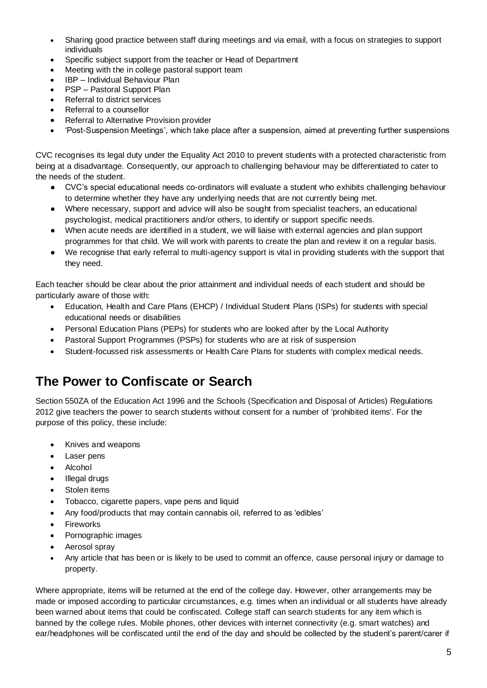- Sharing good practice between staff during meetings and via email, with a focus on strategies to support individuals
- Specific subject support from the teacher or Head of Department
- Meeting with the in college pastoral support team
- IBP Individual Behaviour Plan
- PSP Pastoral Support Plan
- Referral to district services
- Referral to a counsellor
- Referral to Alternative Provision provider
- 'Post-Suspension Meetings', which take place after a suspension, aimed at preventing further suspensions

CVC recognises its legal duty under the Equality Act 2010 to prevent students with a protected characteristic from being at a disadvantage. Consequently, our approach to challenging behaviour may be differentiated to cater to the needs of the student.

- CVC's special educational needs co-ordinators will evaluate a student who exhibits challenging behaviour to determine whether they have any underlying needs that are not currently being met.
- Where necessary, support and advice will also be sought from specialist teachers, an educational psychologist, medical practitioners and/or others, to identify or support specific needs.
- When acute needs are identified in a student, we will liaise with external agencies and plan support programmes for that child. We will work with parents to create the plan and review it on a regular basis.
- We recognise that early referral to multi-agency support is vital in providing students with the support that they need.

Each teacher should be clear about the prior attainment and individual needs of each student and should be particularly aware of those with:

- Education, Health and Care Plans (EHCP) / Individual Student Plans (ISPs) for students with special educational needs or disabilities
- Personal Education Plans (PEPs) for students who are looked after by the Local Authority
- Pastoral Support Programmes (PSPs) for students who are at risk of suspension
- Student-focussed risk assessments or Health Care Plans for students with complex medical needs.

#### <span id="page-4-0"></span>**The Power to Confiscate or Search**

Section 550ZA of the Education Act 1996 and the Schools (Specification and Disposal of Articles) Regulations 2012 give teachers the power to search students without consent for a number of 'prohibited items'. For the purpose of this policy, these include:

- Knives and weapons
- Laser pens
- Alcohol
- Illegal drugs
- Stolen items
- Tobacco, cigarette papers, vape pens and liquid
- Any food/products that may contain cannabis oil, referred to as 'edibles'
- Fireworks
- Pornographic images
- Aerosol spray
- Any article that has been or is likely to be used to commit an offence, cause personal injury or damage to property.

Where appropriate, items will be returned at the end of the college day. However, other arrangements may be made or imposed according to particular circumstances, e.g. times when an individual or all students have already been warned about items that could be confiscated. College staff can search students for any item which is banned by the college rules. Mobile phones, other devices with internet connectivity (e.g. smart watches) and ear/headphones will be confiscated until the end of the day and should be collected by the student's parent/carer if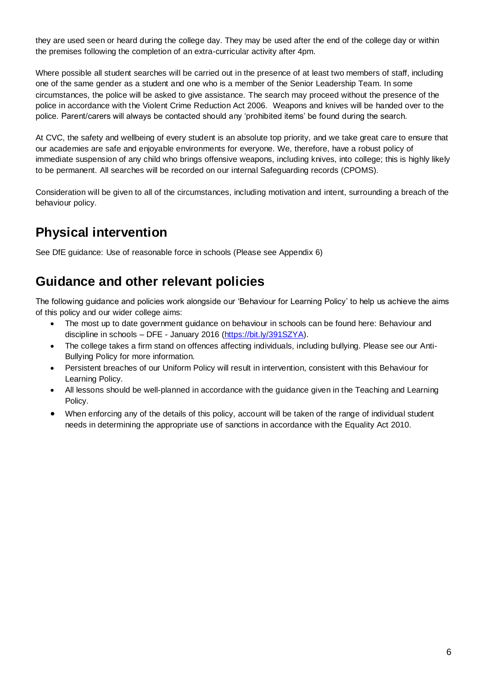they are used seen or heard during the college day. They may be used after the end of the college day or within the premises following the completion of an extra-curricular activity after 4pm.

Where possible all student searches will be carried out in the presence of at least two members of staff, including one of the same gender as a student and one who is a member of the Senior Leadership Team. In some circumstances, the police will be asked to give assistance. The search may proceed without the presence of the police in accordance with the Violent Crime Reduction Act 2006. Weapons and knives will be handed over to the police. Parent/carers will always be contacted should any 'prohibited items' be found during the search.

At CVC, the safety and wellbeing of every student is an absolute top priority, and we take great care to ensure that our academies are safe and enjoyable environments for everyone. We, therefore, have a robust policy of immediate suspension of any child who brings offensive weapons, including knives, into college; this is highly likely to be permanent. All searches will be recorded on our internal Safeguarding records (CPOMS).

Consideration will be given to all of the circumstances, including motivation and intent, surrounding a breach of the behaviour policy.

## <span id="page-5-0"></span>**Physical intervention**

<span id="page-5-1"></span>See DfE guidance: Use of reasonable force in schools (Please see Appendix 6)

#### **Guidance and other relevant policies**

The following guidance and policies work alongside our 'Behaviour for Learning Policy' to help us achieve the aims of this policy and our wider college aims:

- The most up to date government guidance on behaviour in schools can be found here: Behaviour and discipline in schools – DFE - January 2016 [\(https://bit.ly/391SZYA\)](https://bit.ly/391SZYA).
- The college takes a firm stand on offences affecting individuals, including bullying. Please see our Anti-Bullying Policy for more information.
- Persistent breaches of our Uniform Policy will result in intervention, consistent with this Behaviour for Learning Policy.
- All lessons should be well-planned in accordance with the guidance given in the Teaching and Learning Policy.
- When enforcing any of the details of this policy, account will be taken of the range of individual student needs in determining the appropriate use of sanctions in accordance with the Equality Act 2010.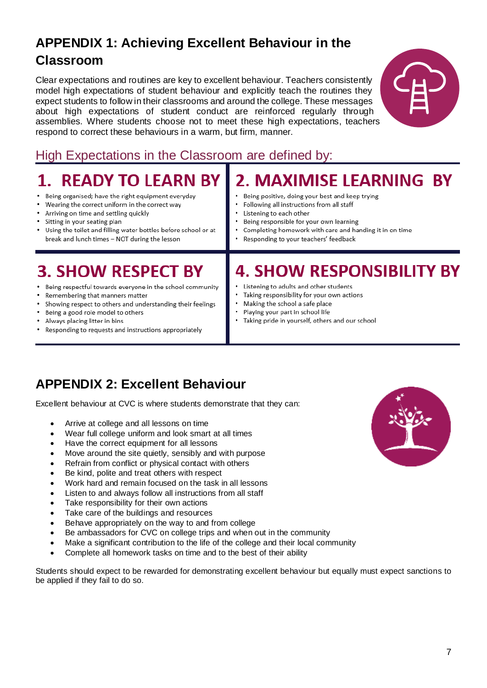## <span id="page-6-0"></span>**APPENDIX 1: Achieving Excellent Behaviour in the Classroom**

Clear expectations and routines are key to excellent behaviour. Teachers consistently model high expectations of student behaviour and explicitly teach the routines they expect students to follow in their classrooms and around the college. These messages about high expectations of student conduct are reinforced regularly through assemblies. Where students choose not to meet these high expectations, teachers respond to correct these behaviours in a warm, but firm, manner.



## High Expectations in the Classroom are defined by:

| <b>1. READY TO LEARN BY</b>                                                                                                                                                                                                                                                                                                        | 2. MAXIMISE LEARNING BY                                                                                                                                                                                                                             |  |  |
|------------------------------------------------------------------------------------------------------------------------------------------------------------------------------------------------------------------------------------------------------------------------------------------------------------------------------------|-----------------------------------------------------------------------------------------------------------------------------------------------------------------------------------------------------------------------------------------------------|--|--|
| • Being organised; have the right equipment everyday                                                                                                                                                                                                                                                                               | Being positive, doing your best and keep trying                                                                                                                                                                                                     |  |  |
| • Wearing the correct uniform in the correct way                                                                                                                                                                                                                                                                                   | Following all instructions from all staff                                                                                                                                                                                                           |  |  |
| • Arriving on time and settling quickly                                                                                                                                                                                                                                                                                            | Listening to each other                                                                                                                                                                                                                             |  |  |
| • Sitting in your seating plan                                                                                                                                                                                                                                                                                                     | Being responsible for your own learning                                                                                                                                                                                                             |  |  |
| • Using the toilet and filling water bottles before school or at                                                                                                                                                                                                                                                                   | Completing homework with care and handing it in on time                                                                                                                                                                                             |  |  |
| break and lunch times - NOT during the lesson                                                                                                                                                                                                                                                                                      | • Responding to your teachers' feedback                                                                                                                                                                                                             |  |  |
| <b>3. SHOW RESPECT BY</b><br>• Being respectful towards everyone in the school community<br>• Remembering that manners matter<br>• Showing respect to others and understanding their feelings<br>• Being a good role model to others<br>• Always placing litter in bins<br>• Responding to requests and instructions appropriately | <b>4. SHOW RESPONSIBILITY BY</b><br>Listening to adults and other students<br>• Taking responsibility for your own actions<br>Making the school a safe place<br>Playing your part in school life<br>Taking pride in yourself, others and our school |  |  |

## <span id="page-6-1"></span>**APPENDIX 2: Excellent Behaviour**

Excellent behaviour at CVC is where students demonstrate that they can:

- Arrive at college and all lessons on time
- Wear full college uniform and look smart at all times
- Have the correct equipment for all lessons
- Move around the site quietly, sensibly and with purpose
- Refrain from conflict or physical contact with others
- Be kind, polite and treat others with respect
- Work hard and remain focused on the task in all lessons
- Listen to and always follow all instructions from all staff
- Take responsibility for their own actions
- Take care of the buildings and resources
- Behave appropriately on the way to and from college
- Be ambassadors for CVC on college trips and when out in the community
- Make a significant contribution to the life of the college and their local community
- Complete all homework tasks on time and to the best of their ability

Students should expect to be rewarded for demonstrating excellent behaviour but equally must expect sanctions to be applied if they fail to do so.

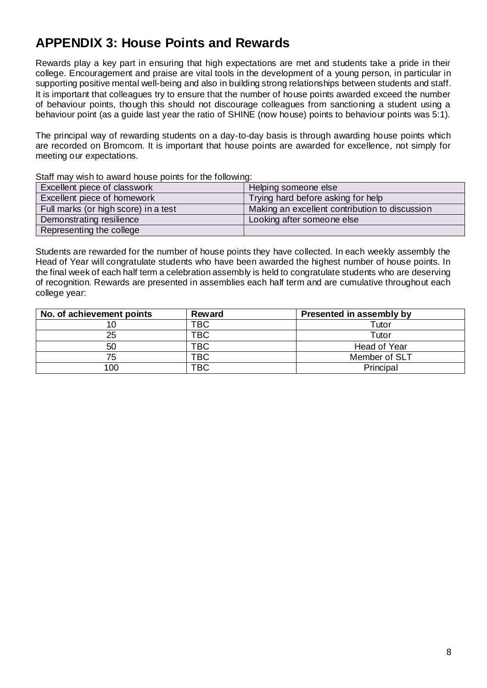## <span id="page-7-0"></span>**APPENDIX 3: House Points and Rewards**

Rewards play a key part in ensuring that high expectations are met and students take a pride in their college. Encouragement and praise are vital tools in the development of a young person, in particular in supporting positive mental well-being and also in building strong relationships between students and staff. It is important that colleagues try to ensure that the number of house points awarded exceed the number of behaviour points, though this should not discourage colleagues from sanctioning a student using a behaviour point (as a guide last year the ratio of SHINE (now house) points to behaviour points was 5:1).

The principal way of rewarding students on a day-to-day basis is through awarding house points which are recorded on Bromcom. It is important that house points are awarded for excellence, not simply for meeting our expectations.

| <u>Ulah Thay Wish to award house points for the following.</u> |                                                |  |
|----------------------------------------------------------------|------------------------------------------------|--|
| Excellent piece of classwork                                   | Helping someone else                           |  |
| Excellent piece of homework                                    | Trying hard before asking for help             |  |
| Full marks (or high score) in a test                           | Making an excellent contribution to discussion |  |
| Demonstrating resilience                                       | Looking after someone else                     |  |
| Representing the college                                       |                                                |  |

Staff may wish to award house points for the following:

Students are rewarded for the number of house points they have collected. In each weekly assembly the Head of Year will congratulate students who have been awarded the highest number of house points. In the final week of each half term a celebration assembly is held to congratulate students who are deserving of recognition. Rewards are presented in assemblies each half term and are cumulative throughout each college year:

| No. of achievement points | <b>Reward</b> | Presented in assembly by |
|---------------------------|---------------|--------------------------|
|                           | <b>TBC</b>    | Tutor                    |
| 25                        | TBC           | Tutor                    |
| 50                        | TBC           | Head of Year             |
| 75                        | <b>TBC</b>    | Member of SLT            |
| 100                       | <b>TBC</b>    | Principal                |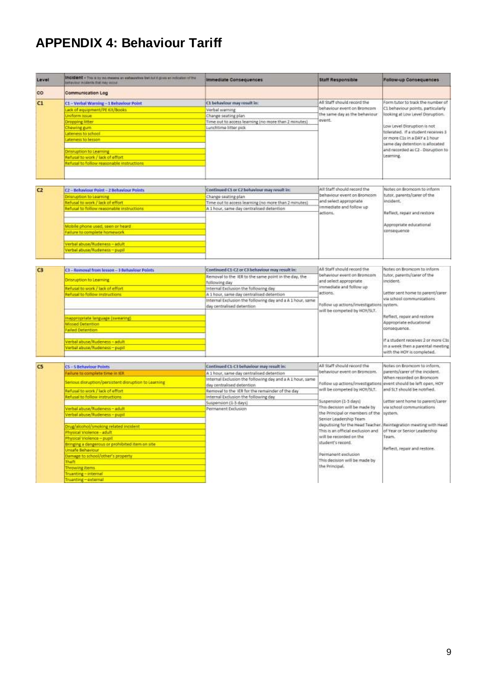## <span id="page-8-0"></span>**APPENDIX 4: Behaviour Tariff**

| Level          | Incident + This is by no means an exhaustive list but t gives an infication of the<br>Estimated includes that may occur.                                                                                                                                                                                                                                                                                                                                                                                                                      | <b>Immediate Consequences</b>                                                                                                                                                                                                                                                                                              | <b>Staff Responsible</b>                                                                                                                                                                                                                                                                                                                                                                                             | Follow-up Consequences                                                                                                                                                                                                                                                                                                                                                              |
|----------------|-----------------------------------------------------------------------------------------------------------------------------------------------------------------------------------------------------------------------------------------------------------------------------------------------------------------------------------------------------------------------------------------------------------------------------------------------------------------------------------------------------------------------------------------------|----------------------------------------------------------------------------------------------------------------------------------------------------------------------------------------------------------------------------------------------------------------------------------------------------------------------------|----------------------------------------------------------------------------------------------------------------------------------------------------------------------------------------------------------------------------------------------------------------------------------------------------------------------------------------------------------------------------------------------------------------------|-------------------------------------------------------------------------------------------------------------------------------------------------------------------------------------------------------------------------------------------------------------------------------------------------------------------------------------------------------------------------------------|
| co             | <b>Communication Log</b>                                                                                                                                                                                                                                                                                                                                                                                                                                                                                                                      |                                                                                                                                                                                                                                                                                                                            |                                                                                                                                                                                                                                                                                                                                                                                                                      |                                                                                                                                                                                                                                                                                                                                                                                     |
| C1             | C1 - Verbal Warning - 1 Behaviour Point<br>Lack of equipment/PE Kit/Books<br>Uniform issue<br><b>Dropping litter</b><br>Chewing gum<br>ateness to school<br>ateness to histon<br>Drisruption to Learning<br>Refusal to work / lack of effort<br>Refusal to follow reasonable instructions                                                                                                                                                                                                                                                     | C1 behaviour may result in:<br>Verbal warning<br>Change seating plan<br>Time out to access learning (no more than 2 minutes)<br>Lunchtime litter pick                                                                                                                                                                      | All Staff should record the<br>behaviour event on Bromcom<br>the same day as the behaviour<br>avent.                                                                                                                                                                                                                                                                                                                 | Form tutor to track the number of<br>C1 behaviour points, particularly<br>looking at Low Level Disruption.<br>Low Level Disruption is not<br>tolerated. If a student receives 3<br>or more C1s in a DAY a 1 hour<br>same day detention is allocated<br>and recorded as C2 - Disruption to<br>Learning.                                                                              |
| C <sub>2</sub> | C2-Behaviour Point - 2 Behaviour Points<br>Drisruption to Learning<br>Refusal to work / lack of effort<br>lefusal to follow reasonable instructions<br>Mobile phone used, seen or beard.<br>Failure to complete homework<br>Verbal abuse/Nudeness - adult<br>Tigure-zanahuffuational advay                                                                                                                                                                                                                                                    | Continued Ct or C2 behaviour may result in:<br>Change seating plan<br>Time out to access learning (no more than 2 minutes)<br>A 1 hour, same day centralised detention                                                                                                                                                     | All Staff should record the<br>behaviour event on Bromcom<br>and select appropriate<br>Immediate and follow up<br>actions.                                                                                                                                                                                                                                                                                           | Notes on Bromcom to inform<br>tutor, parents/carer of the<br>incident.<br>Reflect, repair and restore<br>Appropriate educational<br>consequence                                                                                                                                                                                                                                     |
| C3             | C3-Removal from lesson-3 Behaviour Points<br>Driszuption to Learning<br>Rehusal to work / lack of effort<br><b>Refusal to follow instructions</b><br>Esmanual against sharepoon<br><b>Missed Detention</b><br>Failed Detention<br>Verbal abuse/Rudeness - adult<br>Verbal abuse/Rudeness-pupil                                                                                                                                                                                                                                                | Continued C1-C2 or C3 behaviour may result in:<br>Removal to the IER to the same point in the day, the<br>following day<br>Internal Exclusion the following day<br>A 1 hour, same day centralised detention<br>Internal Exclusion the following day and a A 1 hour, same<br>day centralised detention.                     | All Staff should record the<br>behaviour event on Bromcom<br>and select appropriate<br>immediate and follow up<br>actions.<br>Follow up actions/investigations<br>will be competed by HOY/SLT.                                                                                                                                                                                                                       | Notes on Bromcom to Inform<br>tutor, parents/carer of the<br>incident.<br>Letter sent home to parent/carer<br>via school communications<br>system.<br>Reflect, repair and restore<br>Appropriate educational<br>consequence.<br>If a student receives 2 or more Cits<br>in a week then a parental meeting<br>with the HOY is completed.                                             |
| C <sub>5</sub> | C5-5 Behaviour Points<br>Failure to complete time in tER<br>Semous disruption/parsistent disruption to Learning<br>Refusal to work / lack of effort<br>Refusal to follow instructions.<br>Nerbal abuse/Rudeness-adult<br>Verbal abuse/Rudeness - pupil<br>Drug/alcohol/smoking related incident<br>Physical Violence - adult<br>Physical Violence - pupil<br>Bringing a dangerous or prohibited item on site<br>Unsafe Behaviour<br>Damage to school/other's property.<br>Theft<br>Throwing items<br>Truanting-internal<br>Truanting-external | Continued Ct-C3 behaviour may result in:<br>A 1 hour, same day centralised detention<br>Internal Exclusion the following day and a A 1 hour, same<br>day centralised detention.<br>Removal to the IER for the remainder of the day<br>Internal Exclusion the following day<br>Suspension (1-5 days)<br>Permanent Exclusion | All Staff should record the<br>behaviour event on Bromcom.<br>will be competed by HOY/SLT.<br>Suspension (1-3 days)<br>This decision will be made by<br>the Principal or members of the<br>Senior Leadership Team<br>deputising for the Head Teacher.<br>This is an official exclusion and<br>will be recorded on the<br>student's record.<br>Permanent exclusion<br>This decision will be made by<br>the Principal. | Notes on Bromcom to inform.<br>parents/carer of the incident.<br>When recorded on Bromcom<br>Follow up actions/investigations event should be left open, HOY<br>and SLT should be notified.<br>Letter sent home to parent/carer<br>via school communications<br>system.<br>Reintegration meeting with Head<br>of Year or Senior Leadership<br>Team.<br>Reflect, repair and restore. |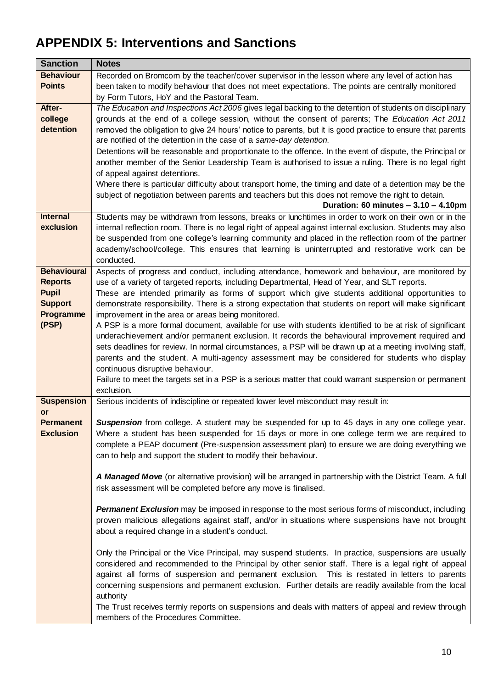## <span id="page-9-0"></span>**APPENDIX 5: Interventions and Sanctions**

| <b>Sanction</b>    | <b>Notes</b>                                                                                               |
|--------------------|------------------------------------------------------------------------------------------------------------|
| <b>Behaviour</b>   | Recorded on Bromcom by the teacher/cover supervisor in the lesson where any level of action has            |
| <b>Points</b>      | been taken to modify behaviour that does not meet expectations. The points are centrally monitored         |
|                    | by Form Tutors, HoY and the Pastoral Team.                                                                 |
| After-             | The Education and Inspections Act 2006 gives legal backing to the detention of students on disciplinary    |
| college            | grounds at the end of a college session, without the consent of parents; The Education Act 2011            |
| detention          | removed the obligation to give 24 hours' notice to parents, but it is good practice to ensure that parents |
|                    | are notified of the detention in the case of a same-day detention.                                         |
|                    | Detentions will be reasonable and proportionate to the offence. In the event of dispute, the Principal or  |
|                    | another member of the Senior Leadership Team is authorised to issue a ruling. There is no legal right      |
|                    | of appeal against detentions.                                                                              |
|                    | Where there is particular difficulty about transport home, the timing and date of a detention may be the   |
|                    | subject of negotiation between parents and teachers but this does not remove the right to detain.          |
|                    | Duration: 60 minutes $-3.10 - 4.10$ pm                                                                     |
| <b>Internal</b>    | Students may be withdrawn from lessons, breaks or lunchtimes in order to work on their own or in the       |
| exclusion          | internal reflection room. There is no legal right of appeal against internal exclusion. Students may also  |
|                    | be suspended from one college's learning community and placed in the reflection room of the partner        |
|                    | academy/school/college. This ensures that learning is uninterrupted and restorative work can be            |
|                    | conducted.                                                                                                 |
| <b>Behavioural</b> | Aspects of progress and conduct, including attendance, homework and behaviour, are monitored by            |
| <b>Reports</b>     | use of a variety of targeted reports, including Departmental, Head of Year, and SLT reports.               |
| <b>Pupil</b>       | These are intended primarily as forms of support which give students additional opportunities to           |
| <b>Support</b>     | demonstrate responsibility. There is a strong expectation that students on report will make significant    |
| Programme          | improvement in the area or areas being monitored.                                                          |
| (PSP)              | A PSP is a more formal document, available for use with students identified to be at risk of significant   |
|                    | underachievement and/or permanent exclusion. It records the behavioural improvement required and           |
|                    | sets deadlines for review. In normal circumstances, a PSP will be drawn up at a meeting involving staff,   |
|                    | parents and the student. A multi-agency assessment may be considered for students who display              |
|                    | continuous disruptive behaviour.                                                                           |
|                    | Failure to meet the targets set in a PSP is a serious matter that could warrant suspension or permanent    |
|                    | exclusion.                                                                                                 |
| <b>Suspension</b>  | Serious incidents of indiscipline or repeated lower level misconduct may result in:                        |
| or                 |                                                                                                            |
| <b>Permanent</b>   | <b>Suspension</b> from college. A student may be suspended for up to 45 days in any one college year.      |
| <b>Exclusion</b>   | Where a student has been suspended for 15 days or more in one college term we are required to              |
|                    | complete a PEAP document (Pre-suspension assessment plan) to ensure we are doing everything we             |
|                    | can to help and support the student to modify their behaviour.                                             |
|                    |                                                                                                            |
|                    | A Managed Move (or alternative provision) will be arranged in partnership with the District Team. A full   |
|                    | risk assessment will be completed before any move is finalised.                                            |
|                    | Permanent Exclusion may be imposed in response to the most serious forms of misconduct, including          |
|                    | proven malicious allegations against staff, and/or in situations where suspensions have not brought        |
|                    |                                                                                                            |
|                    | about a required change in a student's conduct.                                                            |
|                    | Only the Principal or the Vice Principal, may suspend students. In practice, suspensions are usually       |
|                    | considered and recommended to the Principal by other senior staff. There is a legal right of appeal        |
|                    | against all forms of suspension and permanent exclusion. This is restated in letters to parents            |
|                    | concerning suspensions and permanent exclusion. Further details are readily available from the local       |
|                    | authority                                                                                                  |
|                    | The Trust receives termly reports on suspensions and deals with matters of appeal and review through       |
|                    | members of the Procedures Committee.                                                                       |